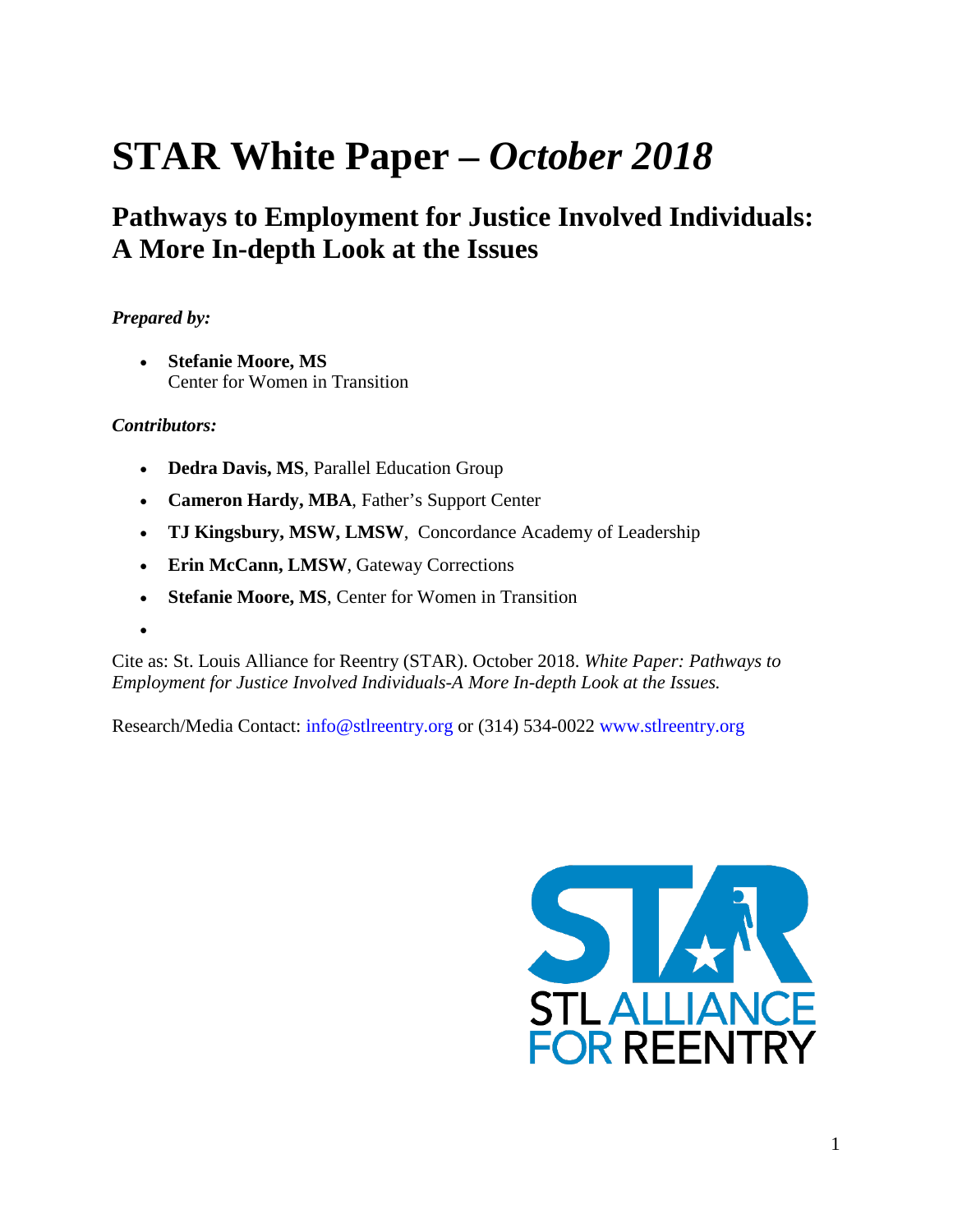# **STAR White Paper** *– October 2018*

### **Pathways to Employment for Justice Involved Individuals: A More In-depth Look at the Issues**

#### *Prepared by:*

• **Stefanie Moore, MS** Center for Women in Transition

#### *Contributors:*

- **Dedra Davis, MS**, Parallel Education Group
- **Cameron Hardy, MBA**, Father's Support Center
- **TJ Kingsbury, MSW, LMSW**, Concordance Academy of Leadership
- **Erin McCann, LMSW**, Gateway Corrections
- **Stefanie Moore, MS**, Center for Women in Transition
- •

Cite as: St. Louis Alliance for Reentry (STAR). October 2018. *White Paper: Pathways to Employment for Justice Involved Individuals-A More In-depth Look at the Issues.*

Research/Media Contact: info@stlreentry.org or (314) 534-0022 www.stlreentry.org

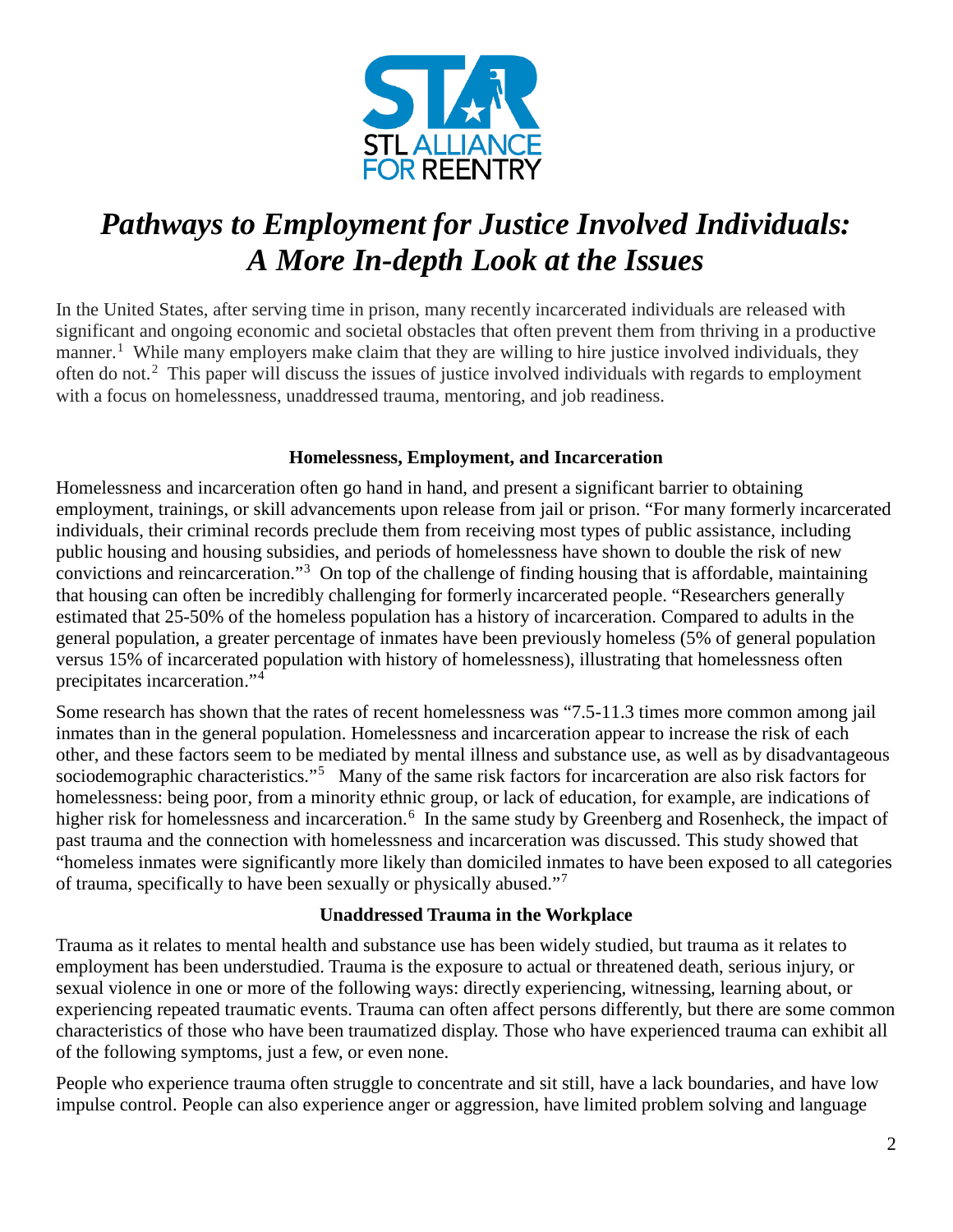

# *Pathways to Employment for Justice Involved Individuals: A More In-depth Look at the Issues*

In the United States, after serving time in prison, many recently incarcerated individuals are released with significant and ongoing economic and societal obstacles that often prevent them from thriving in a productive manner.<sup>[1](#page-7-0)</sup> While many employers make claim that they are willing to hire justice involved individuals, they often do not.<sup>[2](#page-7-1)</sup> This paper will discuss the issues of justice involved individuals with regards to employment with a focus on homelessness, unaddressed trauma, mentoring, and job readiness.

#### **Homelessness, Employment, and Incarceration**

Homelessness and incarceration often go hand in hand, and present a significant barrier to obtaining employment, trainings, or skill advancements upon release from jail or prison. "For many formerly incarcerated individuals, their criminal records preclude them from receiving most types of public assistance, including public housing and housing subsidies, and periods of homelessness have shown to double the risk of new convictions and reincarceration."[3](#page-7-2) On top of the challenge of finding housing that is affordable, maintaining that housing can often be incredibly challenging for formerly incarcerated people. "Researchers generally estimated that 25-50% of the homeless population has a history of incarceration. Compared to adults in the general population, a greater percentage of inmates have been previously homeless (5% of general population versus 15% of incarcerated population with history of homelessness), illustrating that homelessness often precipitates incarceration."[4](#page-7-3)

Some research has shown that the rates of recent homelessness was "7.5-11.3 times more common among jail inmates than in the general population. Homelessness and incarceration appear to increase the risk of each other, and these factors seem to be mediated by mental illness and substance use, as well as by disadvantageous sociodemographic characteristics."<sup>[5](#page-7-4)</sup> Many of the same risk factors for incarceration are also risk factors for homelessness: being poor, from a minority ethnic group, or lack of education, for example, are indications of higher risk for homelessness and incarceration.<sup>[6](#page-7-5)</sup> In the same study by Greenberg and Rosenheck, the impact of past trauma and the connection with homelessness and incarceration was discussed. This study showed that "homeless inmates were significantly more likely than domiciled inmates to have been exposed to all categories of trauma, specifically to have been sexually or physically abused."[7](#page-7-6)

#### **Unaddressed Trauma in the Workplace**

Trauma as it relates to mental health and substance use has been widely studied, but trauma as it relates to employment has been understudied. Trauma is the exposure to actual or threatened death, serious injury, or sexual violence in one or more of the following ways: directly experiencing, witnessing, learning about, or experiencing repeated traumatic events. Trauma can often affect persons differently, but there are some common characteristics of those who have been traumatized display. Those who have experienced trauma can exhibit all of the following symptoms, just a few, or even none.

People who experience trauma often struggle to concentrate and sit still, have a lack boundaries, and have low impulse control. People can also experience anger or aggression, have limited problem solving and language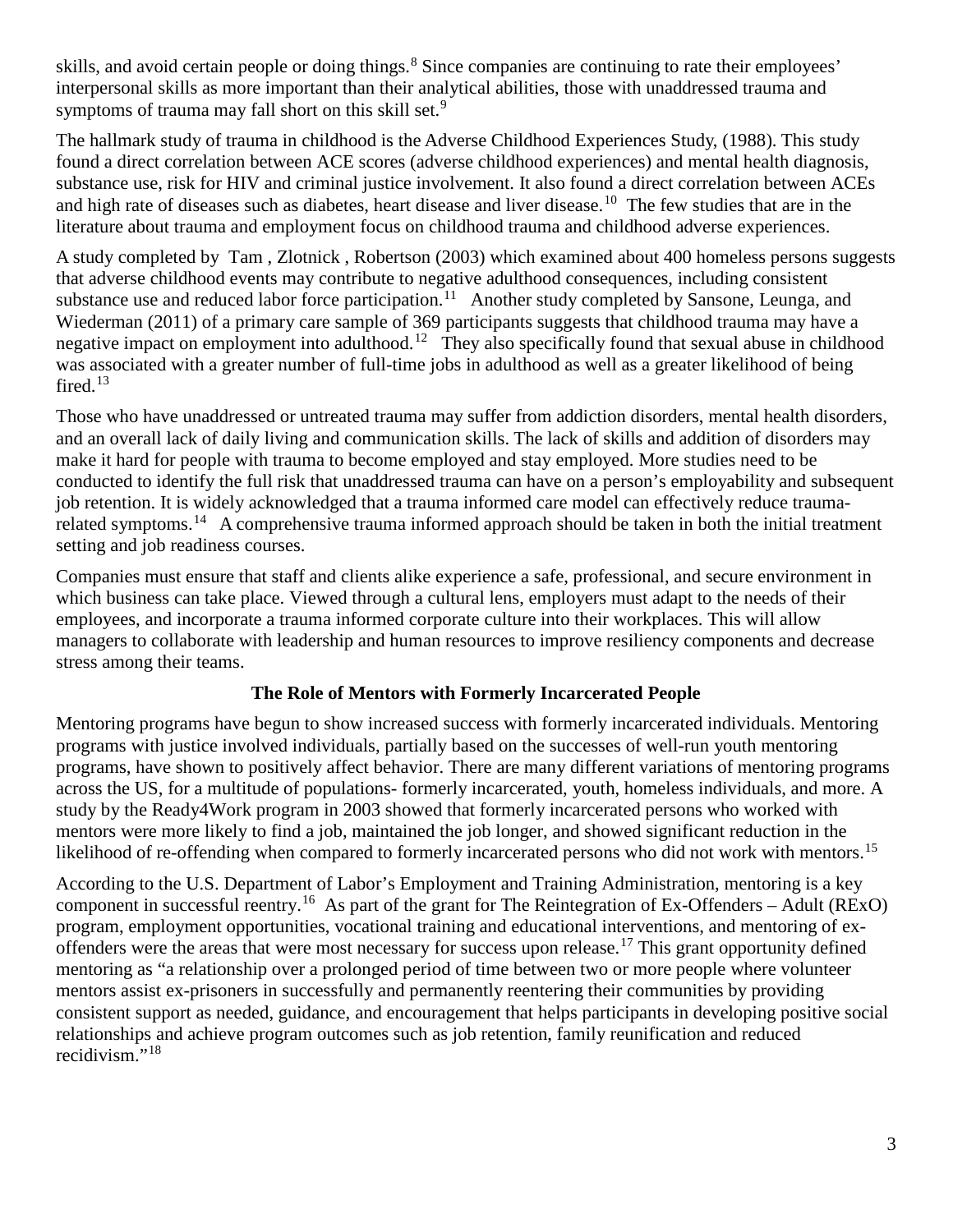skills, and avoid certain people or doing things.<sup>[8](#page-7-7)</sup> Since companies are continuing to rate their employees' interpersonal skills as more important than their analytical abilities, those with unaddressed trauma and symptoms of trauma may fall short on this skill set.<sup>[9](#page-7-8)</sup>

The hallmark study of trauma in childhood is the Adverse Childhood Experiences Study, (1988). This study found a direct correlation between ACE scores (adverse childhood experiences) and mental health diagnosis, substance use, risk for HIV and criminal justice involvement. It also found a direct correlation between ACEs and high rate of diseases such as diabetes, heart disease and liver disease.<sup>[10](#page-7-9)</sup> The few studies that are in the literature about trauma and employment focus on childhood trauma and childhood adverse experiences.

A study completed by [Tam](https://www.tandfonline.com/author/Tam%2C+Tammy+W) , [Zlotnick](https://www.tandfonline.com/author/Zlotnick%2C+Cheryl) , [Robertson](https://www.tandfonline.com/author/Robertson%2C+Marjorie+J) (2003) which examined about 400 homeless persons suggests that adverse childhood events may contribute to negative adulthood consequences, including consistent substance use and reduced labor force participation.<sup>11</sup> Another study completed by Sansone, Leunga, and Wiederman (2011) of a primary care sample of 369 participants suggests that childhood trauma may have a negative impact on employment into adulthood.<sup>12</sup> They also specifically found that sexual abuse in childhood was associated with a greater number of full-time jobs in adulthood as well as a greater likelihood of being fired. [13](#page-7-12)

Those who have unaddressed or untreated trauma may suffer from addiction disorders, mental health disorders, and an overall lack of daily living and communication skills. The lack of skills and addition of disorders may make it hard for people with trauma to become employed and stay employed. More studies need to be conducted to identify the full risk that unaddressed trauma can have on a person's employability and subsequent job retention. It is widely acknowledged that a trauma informed care model can effectively reduce trauma-related symptoms.<sup>[14](#page-7-13)</sup> A comprehensive trauma informed approach should be taken in both the initial treatment setting and job readiness courses.

Companies must ensure that staff and clients alike experience a safe, professional, and secure environment in which business can take place. Viewed through a cultural lens, employers must adapt to the needs of their employees, and incorporate a trauma informed corporate culture into their workplaces. This will allow managers to collaborate with leadership and human resources to improve resiliency components and decrease stress among their teams.

#### **The Role of Mentors with Formerly Incarcerated People**

Mentoring programs have begun to show increased success with formerly incarcerated individuals. Mentoring programs with justice involved individuals, partially based on the successes of well-run youth mentoring programs, have shown to positively affect behavior. There are many different variations of mentoring programs across the US, for a multitude of populations- formerly incarcerated, youth, homeless individuals, and more. A study by the Ready4Work program in 2003 showed that formerly incarcerated persons who worked with mentors were more likely to find a job, maintained the job longer, and showed significant reduction in the likelihood of re-offending when compared to formerly incarcerated persons who did not work with mentors.<sup>[15](#page-7-14)</sup>

According to the U.S. Department of Labor's Employment and Training Administration, mentoring is a key component in successful reentry.<sup>[16](#page-7-15)</sup> As part of the grant for The Reintegration of Ex-Offenders – Adult (RExO) program, employment opportunities, vocational training and educational interventions, and mentoring of ex-offenders were the areas that were most necessary for success upon release.<sup>[17](#page-7-16)</sup> This grant opportunity defined mentoring as "a relationship over a prolonged period of time between two or more people where volunteer mentors assist ex-prisoners in successfully and permanently reentering their communities by providing consistent support as needed, guidance, and encouragement that helps participants in developing positive social relationships and achieve program outcomes such as job retention, family reunification and reduced recidivism $\cdot$ <sup>[18](#page-7-17)</sup>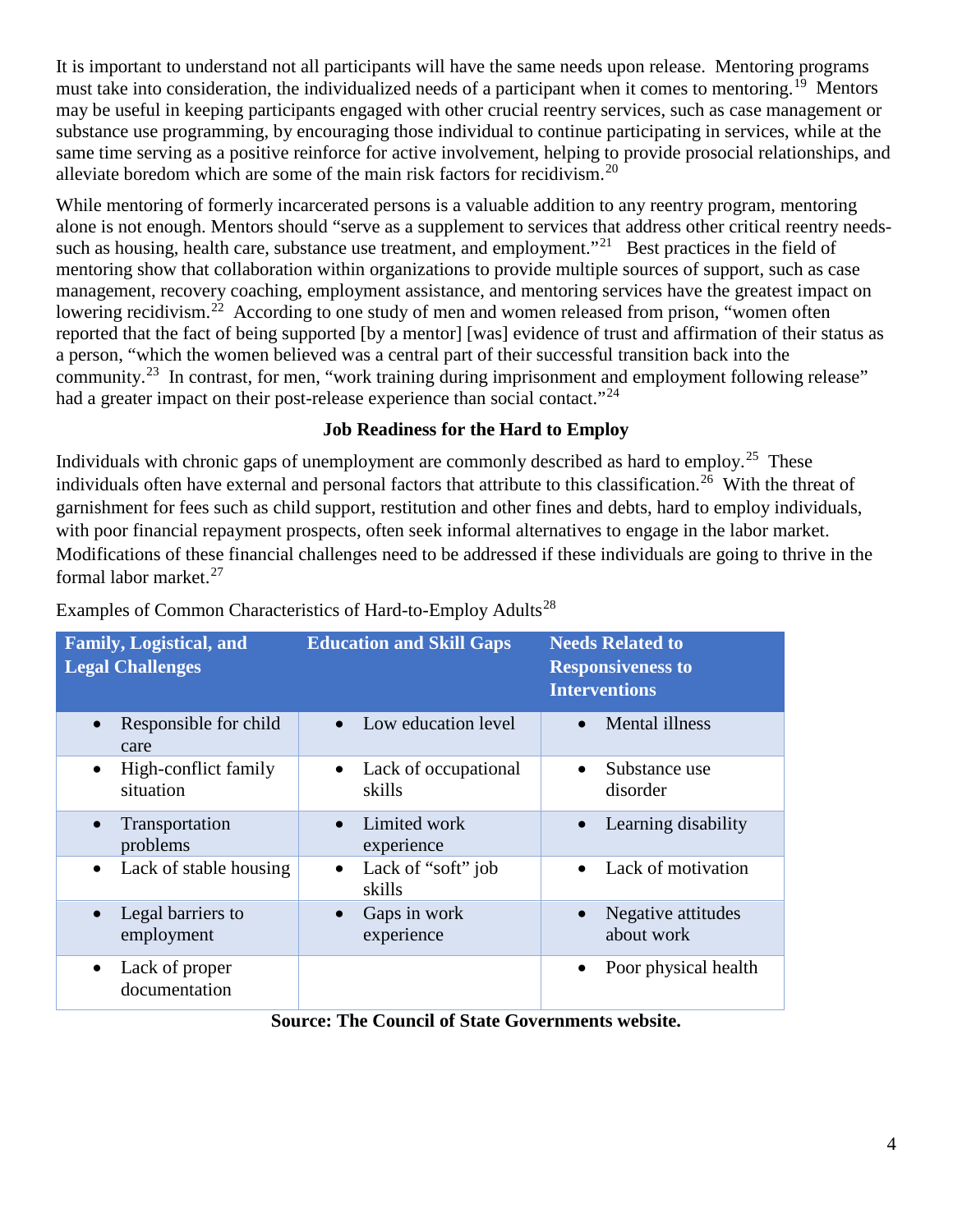It is important to understand not all participants will have the same needs upon release. Mentoring programs must take into consideration, the individualized needs of a participant when it comes to mentoring.<sup>[19](#page-7-18)</sup> Mentors may be useful in keeping participants engaged with other crucial reentry services, such as case management or substance use programming, by encouraging those individual to continue participating in services, while at the same time serving as a positive reinforce for active involvement, helping to provide prosocial relationships, and alleviate boredom which are some of the main risk factors for recidivism. [20](#page-7-19)

While mentoring of formerly incarcerated persons is a valuable addition to any reentry program, mentoring alone is not enough. Mentors should "serve as a supplement to services that address other critical reentry needssuch as housing, health care, substance use treatment, and employment."<sup>21</sup> Best practices in the field of mentoring show that collaboration within organizations to provide multiple sources of support, such as case management, recovery coaching, employment assistance, and mentoring services have the greatest impact on lowering recidivism.<sup>[22](#page-7-21)</sup> According to one study of men and women released from prison, "women often reported that the fact of being supported [by a mentor] [was] evidence of trust and affirmation of their status as a person, "which the women believed was a central part of their successful transition back into the community.<sup>[23](#page-7-22)</sup> In contrast, for men, "work training during imprisonment and employment following release" had a greater impact on their post-release experience than social contact."<sup>[24](#page-7-23)</sup>

#### **Job Readiness for the Hard to Employ**

Individuals with chronic gaps of unemployment are commonly described as hard to employ.<sup>25</sup> These individuals often have external and personal factors that attribute to this classification.<sup>26</sup> With the threat of garnishment for fees such as child support, restitution and other fines and debts, hard to employ individuals, with poor financial repayment prospects, often seek informal alternatives to engage in the labor market. Modifications of these financial challenges need to be addressed if these individuals are going to thrive in the formal labor market.[27](#page-7-26) 

| <b>Family, Logistical, and</b><br><b>Legal Challenges</b> | <b>Education and Skill Gaps</b>           | <b>Needs Related to</b><br><b>Responsiveness to</b><br><b>Interventions</b> |
|-----------------------------------------------------------|-------------------------------------------|-----------------------------------------------------------------------------|
| Responsible for child<br>care                             | Low education level                       | <b>Mental illness</b>                                                       |
| High-conflict family<br>$\bullet$<br>situation            | Lack of occupational<br>skills            | Substance use<br>disorder                                                   |
| Transportation<br>$\bullet$<br>problems                   | Limited work<br>$\bullet$<br>experience   | Learning disability                                                         |
| Lack of stable housing<br>$\bullet$                       | Lack of "soft" job<br>$\bullet$<br>skills | Lack of motivation                                                          |
| Legal barriers to<br>employment                           | Gaps in work<br>$\bullet$<br>experience   | Negative attitudes<br>about work                                            |
| Lack of proper<br>$\bullet$<br>documentation              |                                           | Poor physical health<br>$\bullet$                                           |

Examples of Common Characteristics of Hard-to-Employ Adults<sup>[28](#page-7-27)</sup>

**Source: The Council of State Governments website.**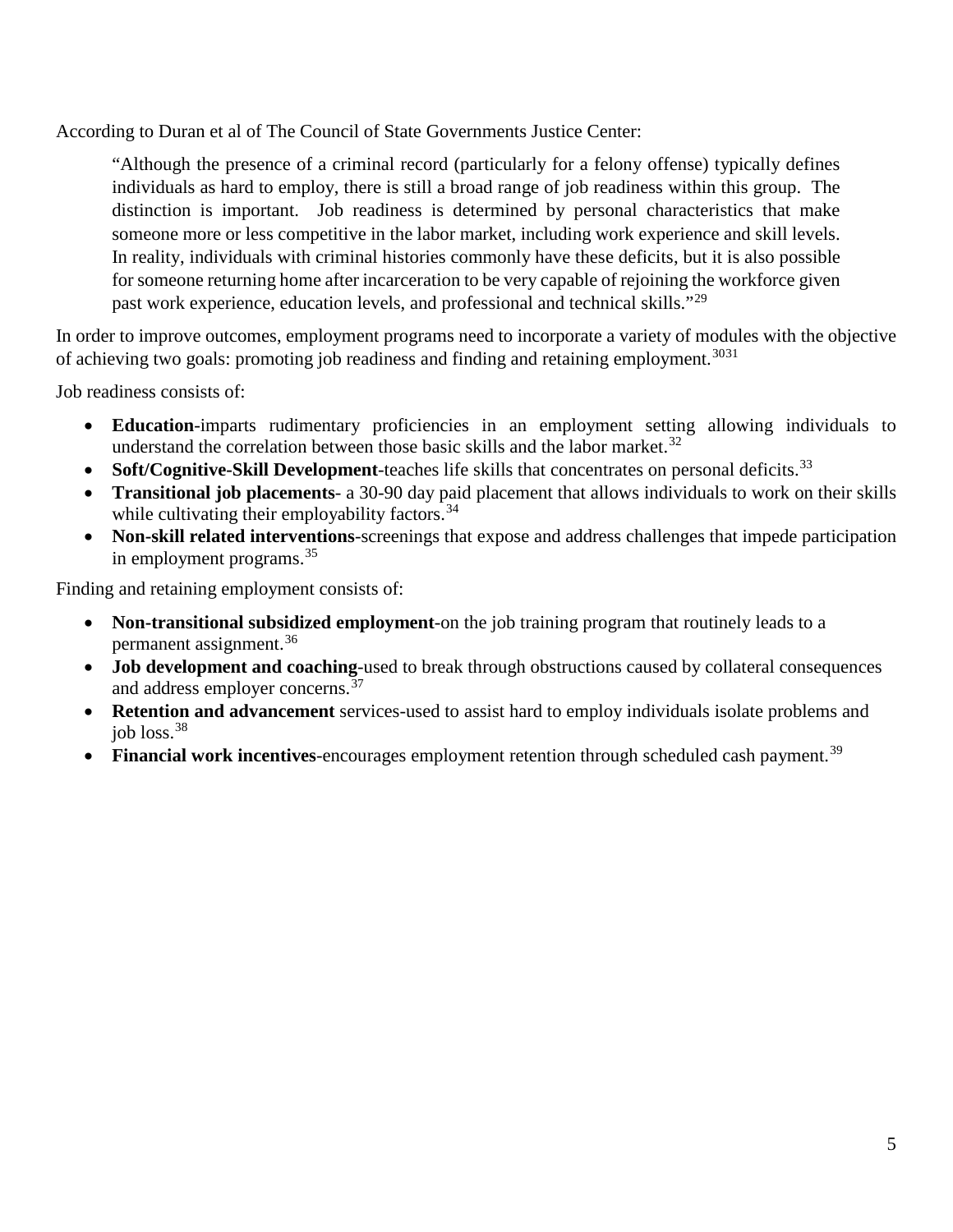According to Duran et al of The Council of State Governments Justice Center:

"Although the presence of a criminal record (particularly for a felony offense) typically defines individuals as hard to employ, there is still a broad range of job readiness within this group. The distinction is important. Job readiness is determined by personal characteristics that make someone more or less competitive in the labor market, including work experience and skill levels. In reality, individuals with criminal histories commonly have these deficits, but it is also possible for someone returning home after incarceration to be very capable of rejoining the workforce given past work experience, education levels, and professional and technical skills."[29](#page-7-28)

In order to improve outcomes, employment programs need to incorporate a variety of modules with the objective of achieving two goals: promoting job readiness and finding and retaining employment.<sup>[30](#page-7-29)[31](#page-7-30)</sup>

Job readiness consists of:

- **Education**-imparts rudimentary proficiencies in an employment setting allowing individuals to understand the correlation between those basic skills and the labor market.<sup>[32](#page-7-31)</sup>
- Soft/Cognitive-Skill Development-teaches life skills that concentrates on personal deficits.<sup>[33](#page-7-32)</sup>
- **Transitional job placements** a 30-90 day paid placement that allows individuals to work on their skills while cultivating their employability factors.<sup>[34](#page-7-33)</sup>
- **Non-skill related interventions**-screenings that expose and address challenges that impede participation in employment programs. [35](#page-7-34)

Finding and retaining employment consists of:

- **Non-transitional subsidized employment**-on the job training program that routinely leads to a permanent assignment.[36](#page-7-35)
- **Job development and coaching**-used to break through obstructions caused by collateral consequences and address employer concerns.<sup>[37](#page-7-36)</sup>
- **Retention and advancement** services-used to assist hard to employ individuals isolate problems and job loss. [38](#page-7-37)
- Financial work incentives-encourages employment retention through scheduled cash payment.<sup>[39](#page-7-38)</sup>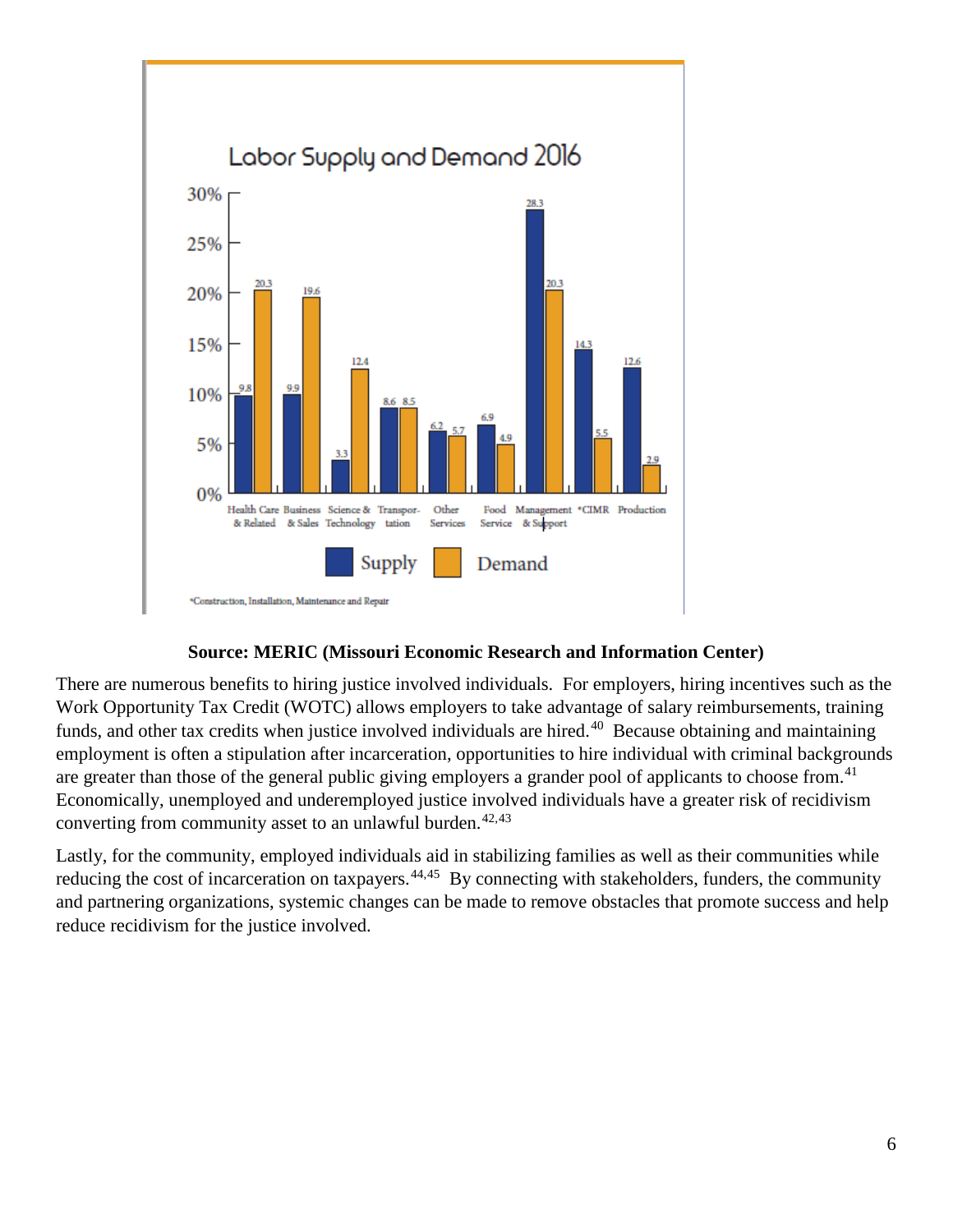

#### **Source: MERIC (Missouri Economic Research and Information Center)**

There are numerous benefits to hiring justice involved individuals. For employers, hiring incentives such as the Work Opportunity Tax Credit (WOTC) allows employers to take advantage of salary reimbursements, training funds, and other tax credits when justice involved individuals are hired.<sup>40</sup> Because obtaining and maintaining employment is often a stipulation after incarceration, opportunities to hire individual with criminal backgrounds are greater than those of the general public giving employers a grander pool of applicants to choose from.<sup>[41](#page-7-40)</sup> Economically, unemployed and underemployed justice involved individuals have a greater risk of recidivism converting from community asset to an unlawful burden. $42,43$  $42,43$ 

Lastly, for the community, employed individuals aid in stabilizing families as well as their communities while reducing the cost of incarceration on taxpayers.<sup>[44](#page-7-43),45</sup> By connecting with stakeholders, funders, the community and partnering organizations, systemic changes can be made to remove obstacles that promote success and help reduce recidivism for the justice involved.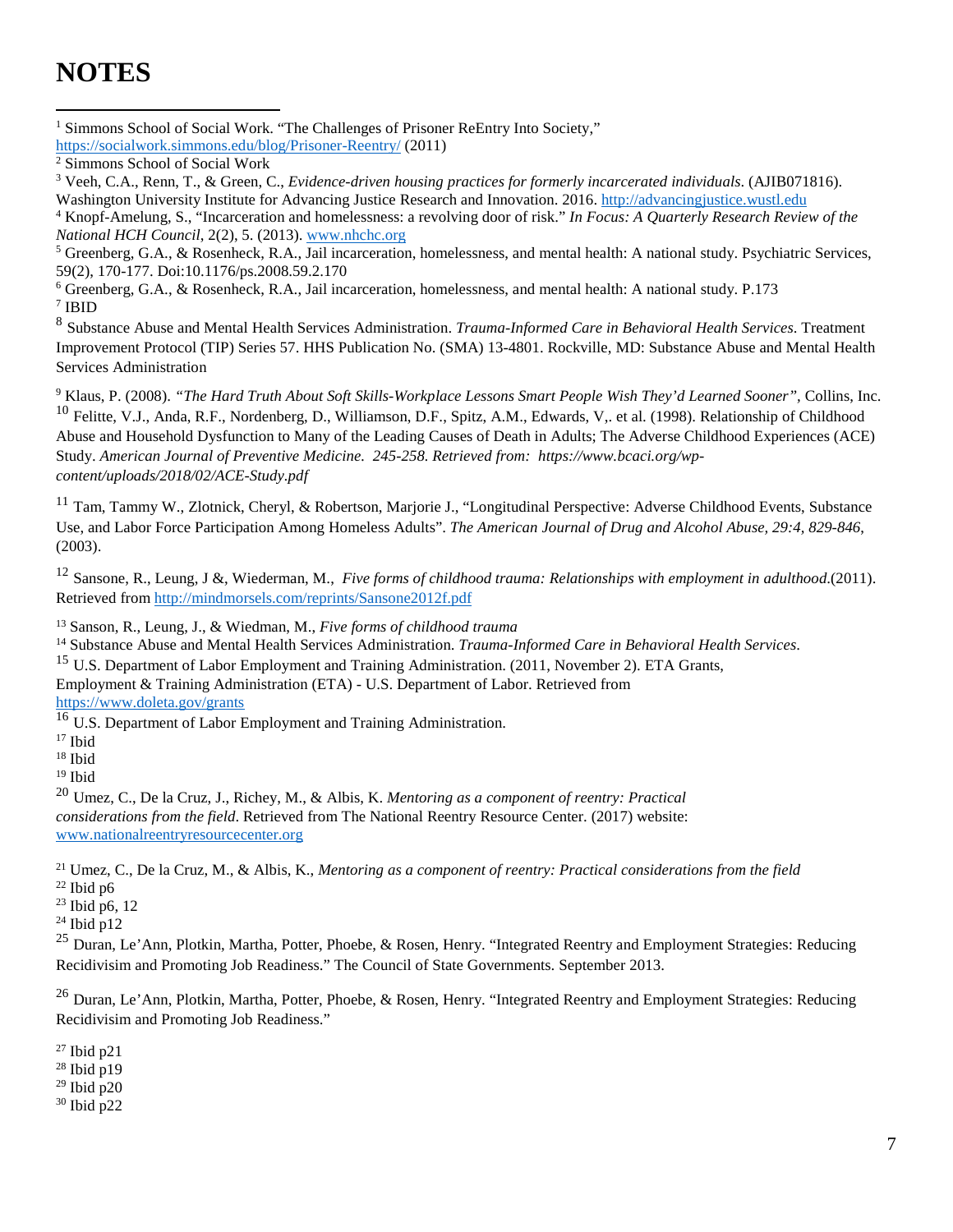## **NOTES**

<sup>1</sup> Simmons School of Social Work. "The Challenges of Prisoner ReEntry Into Society," <https://socialwork.simmons.edu/blog/Prisoner-Reentry/> (2011)  $\overline{a}$ 

Washington University Institute for Advancing Justice Research and Innovation. 2016. [http://advancingjustice.wustl.edu](http://advancingjustice.wustl.edu/)

<sup>4</sup> Knopf-Amelung, S., "Incarceration and homelessness: a revolving door of risk." *In Focus: A Quarterly Research Review of the National HCH Council*, 2(2), 5. (2013). [www.nhchc.org](http://www.nhchc.org/)

<sup>5</sup> Greenberg, G.A., & Rosenheck, R.A., Jail incarceration, homelessness, and mental health: A national study. Psychiatric Services, 59(2), 170-177. Doi:10.1176/ps.2008.59.2.170

<sup>6</sup> Greenberg, G.A., & Rosenheck, R.A., Jail incarceration, homelessness, and mental health: A national study. P.173  $^7$ IBID

<sup>8</sup> Substance Abuse and Mental Health Services Administration. *Trauma-Informed Care in Behavioral Health Services*. Treatment Improvement Protocol (TIP) Series 57. HHS Publication No. (SMA) 13-4801. Rockville, MD: Substance Abuse and Mental Health Services Administration

<sup>9</sup> Klaus, P. (2008). *"The Hard Truth About Soft Skills-Workplace Lessons Smart People Wish They'd Learned Sooner",* Collins, Inc.  $^{10}$  Felitte, V.J., Anda, R.F., Nordenberg, D., Williamson, D.F., Spitz, A.M., Edwards, V,. et al. (1998). Relationship of Childhood Abuse and Household Dysfunction to Many of the Leading Causes of Death in Adults; The Adverse Childhood Experiences (ACE) Study. *American Journal of Preventive Medicine. 245-258. Retrieved from: https://www.bcaci.org/wpcontent/uploads/2018/02/ACE-Study.pdf*

 $11$  Tam, Tammy W., Zlotnick, Cheryl, & Robertson, Marjorie J., "Longitudinal Perspective: Adverse Childhood Events, Substance Use, and Labor Force Participation Among Homeless Adults". *The American Journal of Drug and Alcohol Abuse, 29:4, 829-846*, (2003).

<sup>12</sup> Sansone, R., Leung, J &, Wiederman, M., *Five forms of childhood trauma: Relationships with employment in adulthood*.(2011). Retrieved from<http://mindmorsels.com/reprints/Sansone2012f.pdf>

<sup>13</sup> Sanson, R., Leung, J., & Wiedman, M., *Five forms of childhood trauma*

<sup>14</sup> Substance Abuse and Mental Health Services Administration. *Trauma-Informed Care in Behavioral Health Services*. <sup>15</sup> U.S. Department of Labor Employment and Training Administration. (2011, November 2). ETA Grants,

Employment & Training Administration (ETA) - U.S. Department of Labor. Retrieved from

<https://www.doleta.gov/grants>

<sup>16</sup> U.S. Department of Labor Employment and Training Administration.

<sup>17</sup> Ibid

<sup>18</sup> Ibid

<sup>19</sup> Ibid

<sup>20</sup> Umez, C., De la Cruz, J., Richey, M., & Albis, K. *Mentoring as a component of reentry: Practical considerations from the field*. Retrieved from The National Reentry Resource Center. (2017) website: [www.nationalreentryresourcecenter.org](http://www.nationalreentryresourcecenter.org/)

<sup>21</sup> Umez, C., De la Cruz, M., & Albis, K., *Mentoring as a component of reentry: Practical considerations from the field*  $22$  Ibid p6

<sup>23</sup> Ibid p6, 12  $^{24}$  Ibid p12

<sup>25</sup> Duran, Le'Ann, Plotkin, Martha, Potter, Phoebe, & Rosen, Henry. "Integrated Reentry and Employment Strategies: Reducing Recidivisim and Promoting Job Readiness." The Council of State Governments. September 2013.

 $^{26}$  Duran, Le'Ann, Plotkin, Martha, Potter, Phoebe, & Rosen, Henry. "Integrated Reentry and Employment Strategies: Reducing Recidivisim and Promoting Job Readiness."

 $27$  Ibid p21

 $28$  Ibid p19

 $29$  Ibid  $\bar{p}20$ <sup>30</sup> Ibid p22

<sup>&</sup>lt;sup>2</sup> Simmons School of Social Work

<sup>3</sup> Veeh, C.A., Renn, T., & Green, C., *Evidence-driven housing practices for formerly incarcerated individuals*. (AJIB071816).